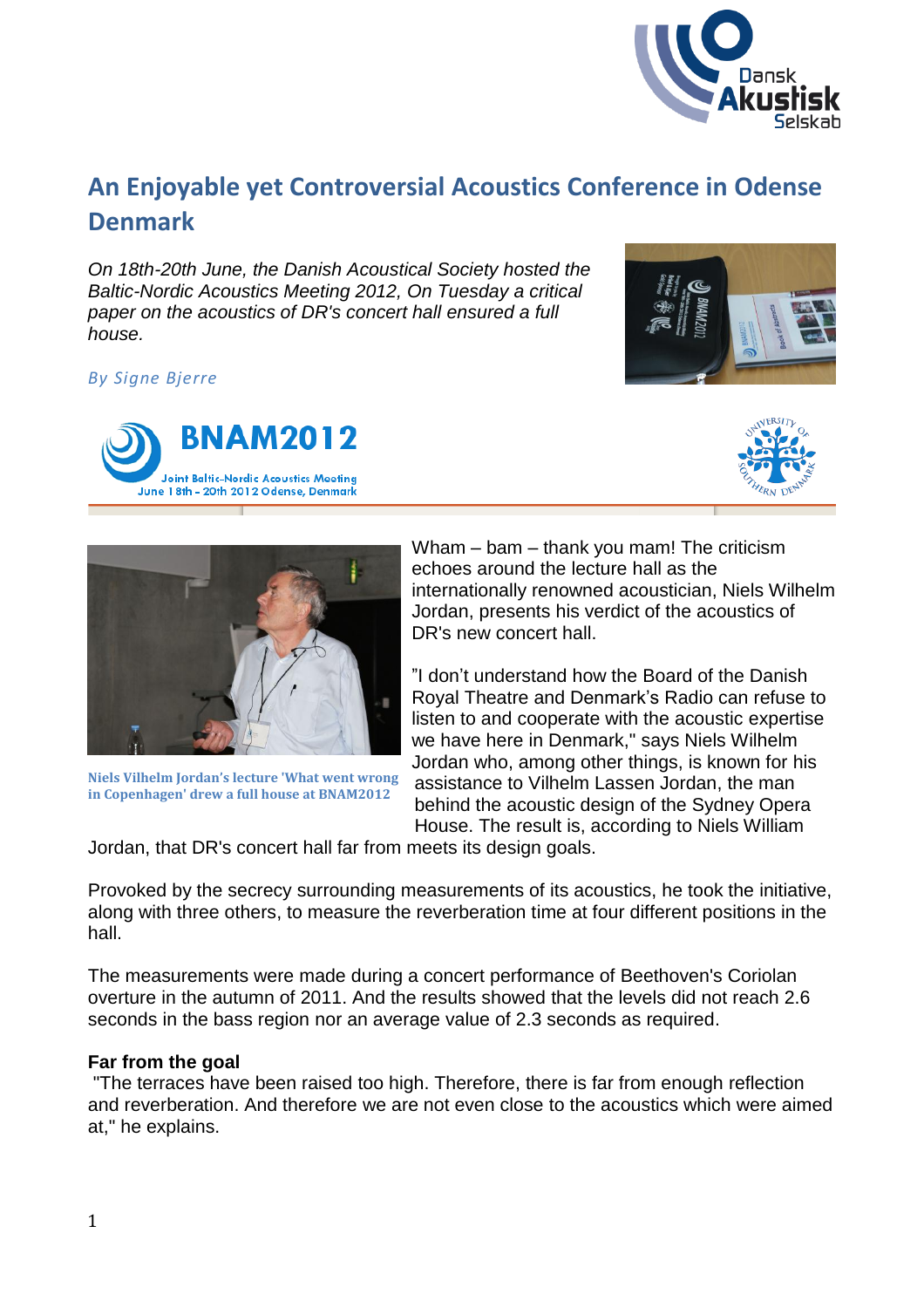

# **An Enjoyable yet Controversial Acoustics Conference in Odense Denmark**

*On 18th-20th June, the Danish Acoustical Society hosted the Baltic-Nordic Acoustics Meeting 2012, On Tuesday a critical paper on the acoustics of DR's concert hall ensured a full house.*

# *By Signe Bjerre*







**Niels Vilhelm Jordan's lecture 'What went wrong in Copenhagen' drew a full house at BNAM2012**

Wham – bam – thank you mam! The criticism echoes around the lecture hall as the internationally renowned acoustician, Niels Wilhelm Jordan, presents his verdict of the acoustics of DR's new concert hall.

"I don't understand how the Board of the Danish Royal Theatre and Denmark's Radio can refuse to listen to and cooperate with the acoustic expertise we have here in Denmark," says Niels Wilhelm Jordan who, among other things, is known for his assistance to Vilhelm Lassen Jordan, the man behind the acoustic design of the Sydney Opera House. The result is, according to Niels William

Jordan, that DR's concert hall far from meets its design goals.

Provoked by the secrecy surrounding measurements of its acoustics, he took the initiative, along with three others, to measure the reverberation time at four different positions in the hall.

The measurements were made during a concert performance of Beethoven's Coriolan overture in the autumn of 2011. And the results showed that the levels did not reach 2.6 seconds in the bass region nor an average value of 2.3 seconds as required.

# **Far from the goal**

"The terraces have been raised too high. Therefore, there is far from enough reflection and reverberation. And therefore we are not even close to the acoustics which were aimed at," he explains.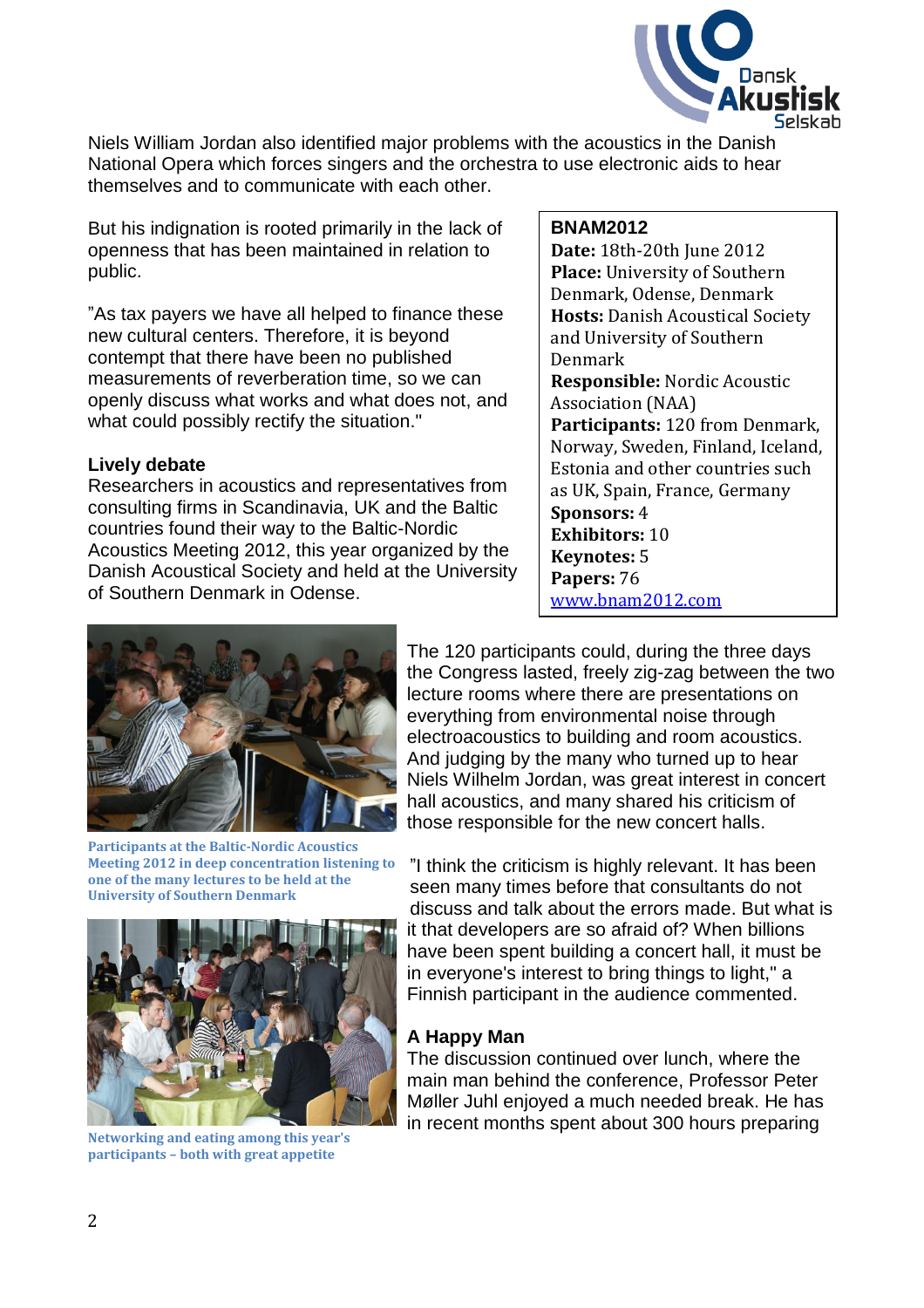

Niels William Jordan also identified major problems with the acoustics in the Danish National Opera which forces singers and the orchestra to use electronic aids to hear themselves and to communicate with each other.

But his indignation is rooted primarily in the lack of openness that has been maintained in relation to public.

"As tax payers we have all helped to finance these new cultural centers. Therefore, it is beyond contempt that there have been no published measurements of reverberation time, so we can openly discuss what works and what does not, and what could possibly rectify the situation."

#### **Lively debate**

Researchers in acoustics and representatives from consulting firms in Scandinavia, UK and the Baltic countries found their way to the Baltic-Nordic Acoustics Meeting 2012, this year organized by the Danish Acoustical Society and held at the University of Southern Denmark in Odense.

#### **BNAM2012**

**Date:** 18th-20th June 2012 **Place:** University of Southern Denmark, Odense, Denmark **Hosts:** Danish Acoustical Society and University of Southern Denmark **Responsible:** Nordic Acoustic Association (NAA) **Participants:** 120 from Denmark, Norway, Sweden, Finland, Iceland, Estonia and other countries such as UK, Spain, France, Germany **Sponsors:** 4 **Exhibitors:** 10 **Keynotes:** 5 **Papers:** 76 [www.bnam2012.com](http://www.bnam2012.com/)



**Participants at the Baltic-Nordic Acoustics Meeting 2012 in deep concentration listening to one of the many lectures to be held at the University of Southern Denmark**



**Networking and eating among this year's participants – both with great appetite**

The 120 participants could, during the three days the Congress lasted, freely zig-zag between the two lecture rooms where there are presentations on everything from environmental noise through electroacoustics to building and room acoustics. And judging by the many who turned up to hear Niels Wilhelm Jordan, was great interest in concert hall acoustics, and many shared his criticism of those responsible for the new concert halls.

"I think the criticism is highly relevant. It has been seen many times before that consultants do not discuss and talk about the errors made. But what is it that developers are so afraid of? When billions have been spent building a concert hall, it must be in everyone's interest to bring things to light," a Finnish participant in the audience commented.

# **A Happy Man**

The discussion continued over lunch, where the main man behind the conference, Professor Peter Møller Juhl enjoyed a much needed break. He has in recent months spent about 300 hours preparing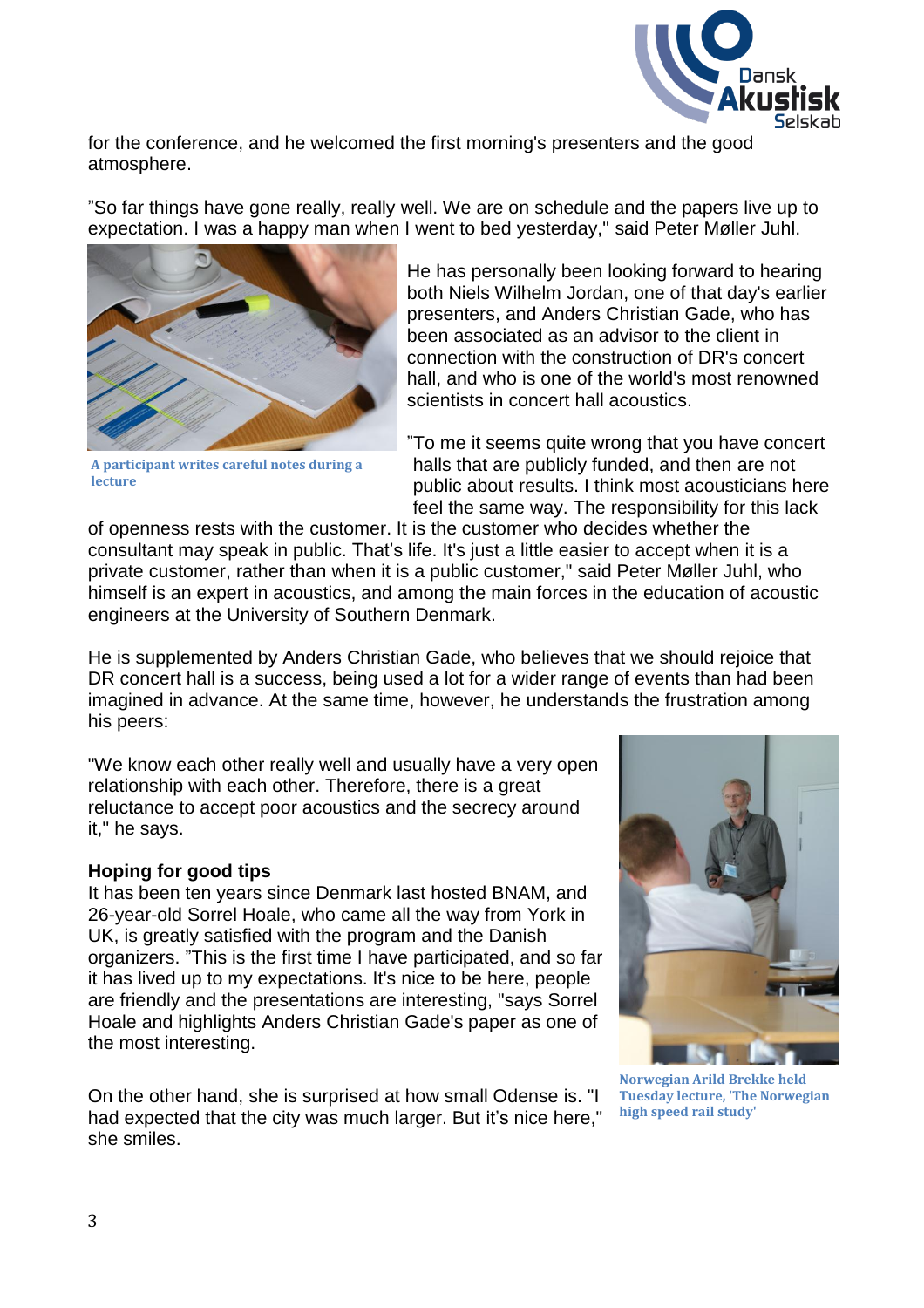

for the conference, and he welcomed the first morning's presenters and the good atmosphere.

"So far things have gone really, really well. We are on schedule and the papers live up to expectation. I was a happy man when I went to bed yesterday," said Peter Møller Juhl.



**A participant writes careful notes during a lecture**

He has personally been looking forward to hearing both Niels Wilhelm Jordan, one of that day's earlier presenters, and Anders Christian Gade, who has been associated as an advisor to the client in connection with the construction of DR's concert hall, and who is one of the world's most renowned scientists in concert hall acoustics.

"To me it seems quite wrong that you have concert halls that are publicly funded, and then are not public about results. I think most acousticians here feel the same way. The responsibility for this lack

of openness rests with the customer. It is the customer who decides whether the consultant may speak in public. That's life. It's just a little easier to accept when it is a private customer, rather than when it is a public customer," said Peter Møller Juhl, who himself is an expert in acoustics, and among the main forces in the education of acoustic engineers at the University of Southern Denmark.

He is supplemented by Anders Christian Gade, who believes that we should rejoice that DR concert hall is a success, being used a lot for a wider range of events than had been imagined in advance. At the same time, however, he understands the frustration among his peers:

"We know each other really well and usually have a very open relationship with each other. Therefore, there is a great reluctance to accept poor acoustics and the secrecy around it," he says.

# **Hoping for good tips**

It has been ten years since Denmark last hosted BNAM, and 26-year-old Sorrel Hoale, who came all the way from York in UK, is greatly satisfied with the program and the Danish organizers. "This is the first time I have participated, and so far it has lived up to my expectations. It's nice to be here, people are friendly and the presentations are interesting, "says Sorrel Hoale and highlights Anders Christian Gade's paper as one of the most interesting.

On the other hand, she is surprised at how small Odense is. "I had expected that the city was much larger. But it's nice here," she smiles.



**Norwegian Arild Brekke held Tuesday lecture, 'The Norwegian high speed rail study'**